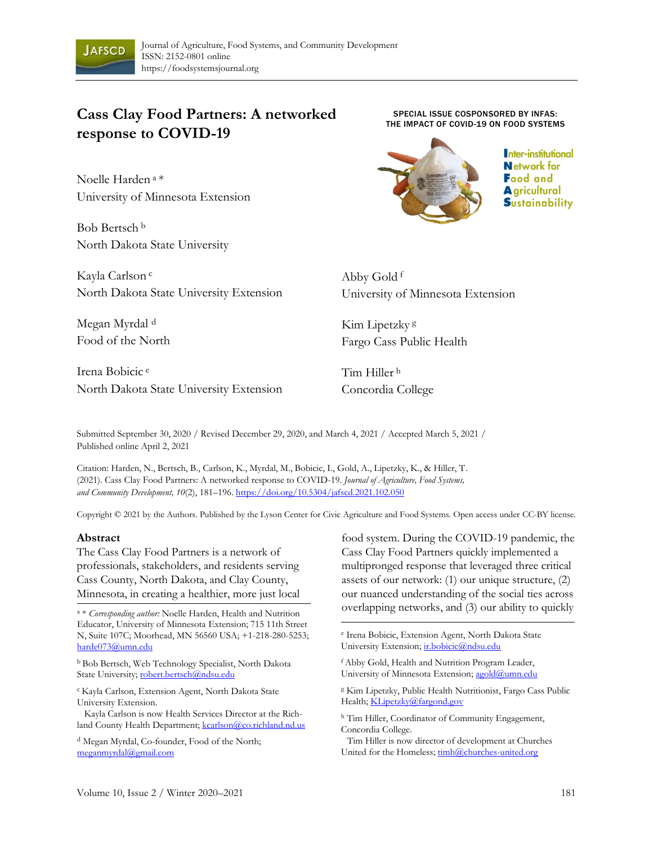

# **Cass Clay Food Partners: A networked response to COVID-19**

Noelle Harden <sup>a</sup>\* University of Minnesota Extension

Bob Bertsch <sup>b</sup> North Dakota State University

Kayla Carlson <sup>c</sup> North Dakota State University Extension

Megan Myrdal <sup>d</sup> Food of the North

Irena Bobicic <sup>e</sup> North Dakota State University Extension

SPECIAL ISSUE COSPONSORED BY INFAS: THE IMPACT OF COVID-19 ON FOOD SYSTEMS



Inter-institutional **Network** for **Food and A** gricultural **Sustainability** 

Abby Gold <sup>f</sup> University of Minnesota Extension

Kim Lipetzky <sup>g</sup> Fargo Cass Public Health

Tim Hiller <sup>h</sup> Concordia College

Submitted September 30, 2020 / Revised December 29, 2020, and March 4, 2021 / Accepted March 5, 2021 / Published online April 2, 2021

Citation: Harden, N., Bertsch, B., Carlson, K., Myrdal, M., Bobicic, I., Gold, A., Lipetzky, K., & Hiller, T. (2021). Cass Clay Food Partners: A networked response to COVID-19. *Journal of Agriculture, Food Systems, and Community Development, 10*(2), 181–196. https://doi.org/10.5304/jafscd.2021.102.050

Copyright © 2021 by the Authors. Published by the Lyson Center for Civic Agriculture and Food Systems. Open access under CC-BY license.

#### **Abstract**

The Cass Clay Food Partners is a network of professionals, stakeholders, and residents serving Cass County, North Dakota, and Clay County, Minnesota, in creating a healthier, more just local

<sup>a</sup> \* *Corresponding author:* Noelle Harden, Health and Nutrition Educator, University of Minnesota Extension; 715 11th Street N, Suite 107C; Moorhead, MN 56560 USA; +1-218-280-5253; harde073@umn.edu

<sup>b</sup> Bob Bertsch, Web Technology Specialist, North Dakota State University; robert.bertsch@ndsu.edu

<sup>c</sup>Kayla Carlson, Extension Agent, North Dakota State University Extension.

Kayla Carlson is now Health Services Director at the Richland County Health Department; kcarlson@co.richland.nd.us

<sup>d</sup> Megan Myrdal, Co-founder, Food of the North; meganmyrdal@gmail.com

food system. During the COVID-19 pandemic, the Cass Clay Food Partners quickly implemented a multipronged response that leveraged three critical assets of our network: (1) our unique structure, (2) our nuanced understanding of the social ties across overlapping networks, and (3) our ability to quickly

e Irena Bobicic, Extension Agent, North Dakota State University Extension; ir.bobicic@ndsu.edu

<sup>f</sup>Abby Gold, Health and Nutrition Program Leader, University of Minnesota Extension; agold@umn.edu

<sup>g</sup> Kim Lipetzky, Public Health Nutritionist, Fargo Cass Public Health; KLipetzky@fargond.gov

h Tim Hiller, Coordinator of Community Engagement, Concordia College.

Tim Hiller is now director of development at Churches United for the Homeless;  $\frac{\text{timh@churches-united.org}}{ \text{timh@churches-united.org}}$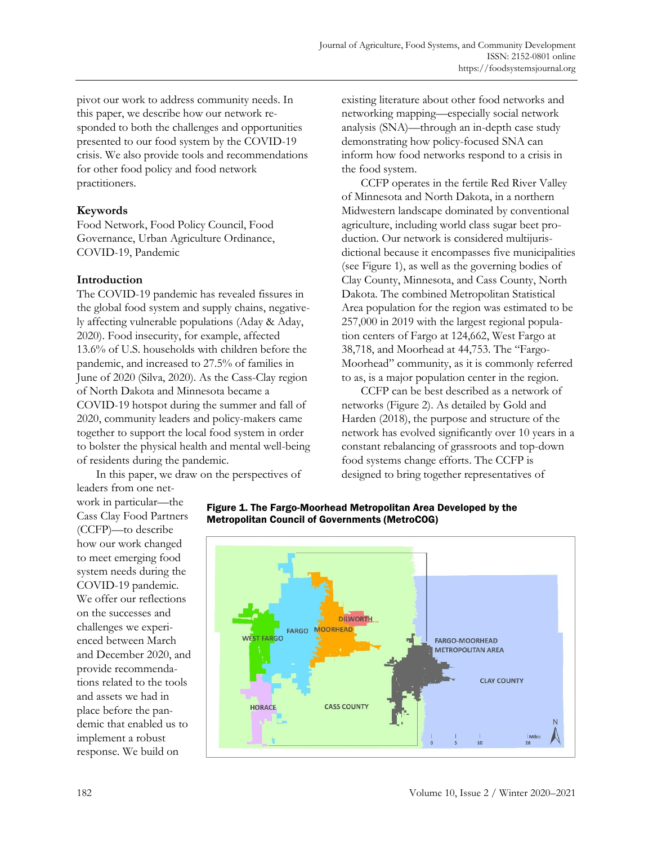pivot our work to address community needs. In this paper, we describe how our network responded to both the challenges and opportunities presented to our food system by the COVID-19 crisis. We also provide tools and recommendations for other food policy and food network practitioners.

## **Keywords**

Food Network, Food Policy Council, Food Governance, Urban Agriculture Ordinance, COVID-19, Pandemic

# **Introduction**

The COVID-19 pandemic has revealed fissures in the global food system and supply chains, negatively affecting vulnerable populations (Aday & Aday, 2020). Food insecurity, for example, affected 13.6% of U.S. households with children before the pandemic, and increased to 27.5% of families in June of 2020 (Silva, 2020). As the Cass-Clay region of North Dakota and Minnesota became a COVID-19 hotspot during the summer and fall of 2020, community leaders and policy-makers came together to support the local food system in order to bolster the physical health and mental well-being of residents during the pandemic.

In this paper, we draw on the perspectives of leaders from one netexisting literature about other food networks and networking mapping—especially social network analysis (SNA)—through an in-depth case study demonstrating how policy-focused SNA can inform how food networks respond to a crisis in the food system.

CCFP operates in the fertile Red River Valley of Minnesota and North Dakota, in a northern Midwestern landscape dominated by conventional agriculture, including world class sugar beet production. Our network is considered multijurisdictional because it encompasses five municipalities (see Figure 1), as well as the governing bodies of Clay County, Minnesota, and Cass County, North Dakota. The combined Metropolitan Statistical Area population for the region was estimated to be 257,000 in 2019 with the largest regional population centers of Fargo at 124,662, West Fargo at 38,718, and Moorhead at 44,753. The "Fargo-Moorhead" community, as it is commonly referred to as, is a major population center in the region.

CCFP can be best described as a network of networks (Figure 2). As detailed by Gold and Harden (2018), the purpose and structure of the network has evolved significantly over 10 years in a constant rebalancing of grassroots and top-down food systems change efforts. The CCFP is designed to bring together representatives of

work in particular—the Cass Clay Food Partners (CCFP)—to describe how our work changed to meet emerging food system needs during the COVID-19 pandemic. We offer our reflections on the successes and challenges we experienced between March and December 2020, and provide recommendations related to the tools and assets we had in place before the pandemic that enabled us to implement a robust response. We build on



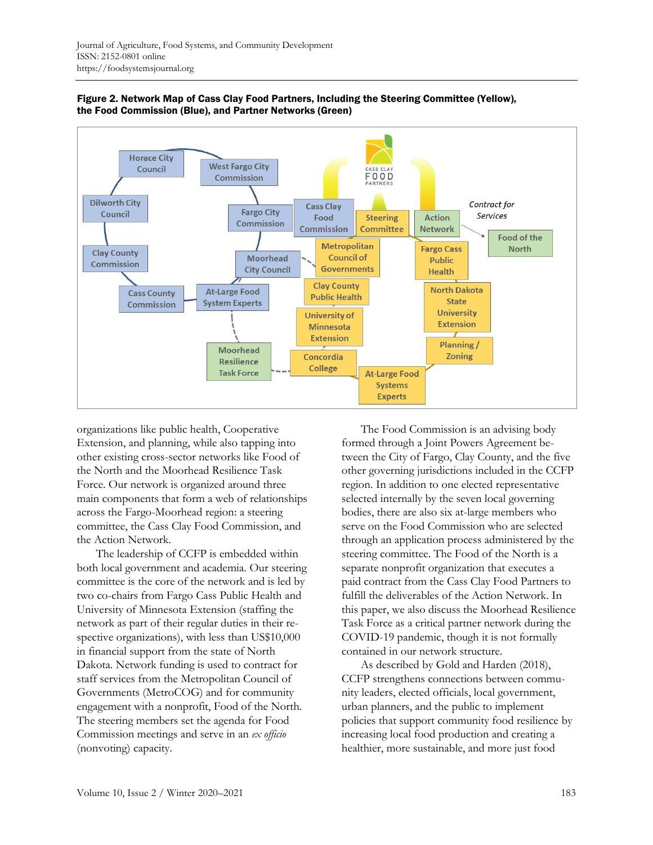



organizations like public health, Cooperative Extension, and planning, while also tapping into other existing cross-sector networks like Food of the North and the Moorhead Resilience Task Force. Our network is organized around three main components that form a web of relationships across the Fargo-Moorhead region: a steering committee, the Cass Clay Food Commission, and the Action Network.

The leadership of CCFP is embedded within both local government and academia. Our steering committee is the core of the network and is led by two co-chairs from Fargo Cass Public Health and University of Minnesota Extension (staffing the network as part of their regular duties in their respective organizations), with less than US\$10,000 in financial support from the state of North Dakota. Network funding is used to contract for staff services from the Metropolitan Council of Governments (MetroCOG) and for community engagement with a nonprofit, Food of the North. The steering members set the agenda for Food Commission meetings and serve in an *ex officio* (nonvoting) capacity.

The Food Commission is an advising body formed through a Joint Powers Agreement between the City of Fargo, Clay County, and the five other governing jurisdictions included in the CCFP region. In addition to one elected representative selected internally by the seven local governing bodies, there are also six at-large members who serve on the Food Commission who are selected through an application process administered by the steering committee. The Food of the North is a separate nonprofit organization that executes a paid contract from the Cass Clay Food Partners to fulfill the deliverables of the Action Network. In this paper, we also discuss the Moorhead Resilience Task Force as a critical partner network during the COVID-19 pandemic, though it is not formally contained in our network structure.

As described by Gold and Harden (2018), CCFP strengthens connections between community leaders, elected officials, local government, urban planners, and the public to implement policies that support community food resilience by increasing local food production and creating a healthier, more sustainable, and more just food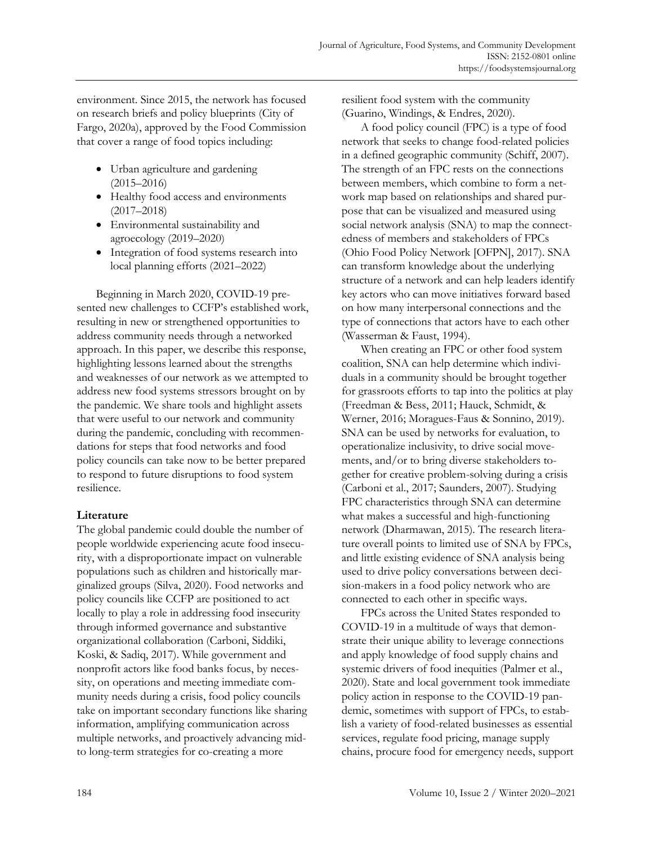environment. Since 2015, the network has focused on research briefs and policy blueprints (City of Fargo, 2020a), approved by the Food Commission that cover a range of food topics including:

- Urban agriculture and gardening (2015–2016)
- Healthy food access and environments (2017–2018)
- Environmental sustainability and agroecology (2019–2020)
- Integration of food systems research into local planning efforts (2021–2022)

Beginning in March 2020, COVID-19 presented new challenges to CCFP's established work, resulting in new or strengthened opportunities to address community needs through a networked approach. In this paper, we describe this response, highlighting lessons learned about the strengths and weaknesses of our network as we attempted to address new food systems stressors brought on by the pandemic. We share tools and highlight assets that were useful to our network and community during the pandemic, concluding with recommendations for steps that food networks and food policy councils can take now to be better prepared to respond to future disruptions to food system resilience.

#### **Literature**

The global pandemic could double the number of people worldwide experiencing acute food insecurity, with a disproportionate impact on vulnerable populations such as children and historically marginalized groups (Silva, 2020). Food networks and policy councils like CCFP are positioned to act locally to play a role in addressing food insecurity through informed governance and substantive organizational collaboration (Carboni, Siddiki, Koski, & Sadiq, 2017). While government and nonprofit actors like food banks focus, by necessity, on operations and meeting immediate community needs during a crisis, food policy councils take on important secondary functions like sharing information, amplifying communication across multiple networks, and proactively advancing midto long-term strategies for co-creating a more

resilient food system with the community (Guarino, Windings, & Endres, 2020).

A food policy council (FPC) is a type of food network that seeks to change food-related policies in a defined geographic community (Schiff, 2007). The strength of an FPC rests on the connections between members, which combine to form a network map based on relationships and shared purpose that can be visualized and measured using social network analysis (SNA) to map the connectedness of members and stakeholders of FPCs (Ohio Food Policy Network [OFPN], 2017). SNA can transform knowledge about the underlying structure of a network and can help leaders identify key actors who can move initiatives forward based on how many interpersonal connections and the type of connections that actors have to each other (Wasserman & Faust, 1994).

When creating an FPC or other food system coalition, SNA can help determine which individuals in a community should be brought together for grassroots efforts to tap into the politics at play (Freedman & Bess, 2011; Hauck, Schmidt, & Werner, 2016; Moragues-Faus & Sonnino, 2019). SNA can be used by networks for evaluation, to operationalize inclusivity, to drive social movements, and/or to bring diverse stakeholders together for creative problem-solving during a crisis (Carboni et al., 2017; Saunders, 2007). Studying FPC characteristics through SNA can determine what makes a successful and high-functioning network (Dharmawan, 2015). The research literature overall points to limited use of SNA by FPCs, and little existing evidence of SNA analysis being used to drive policy conversations between decision-makers in a food policy network who are connected to each other in specific ways.

FPCs across the United States responded to COVID-19 in a multitude of ways that demonstrate their unique ability to leverage connections and apply knowledge of food supply chains and systemic drivers of food inequities (Palmer et al., 2020). State and local government took immediate policy action in response to the COVID-19 pandemic, sometimes with support of FPCs, to establish a variety of food-related businesses as essential services, regulate food pricing, manage supply chains, procure food for emergency needs, support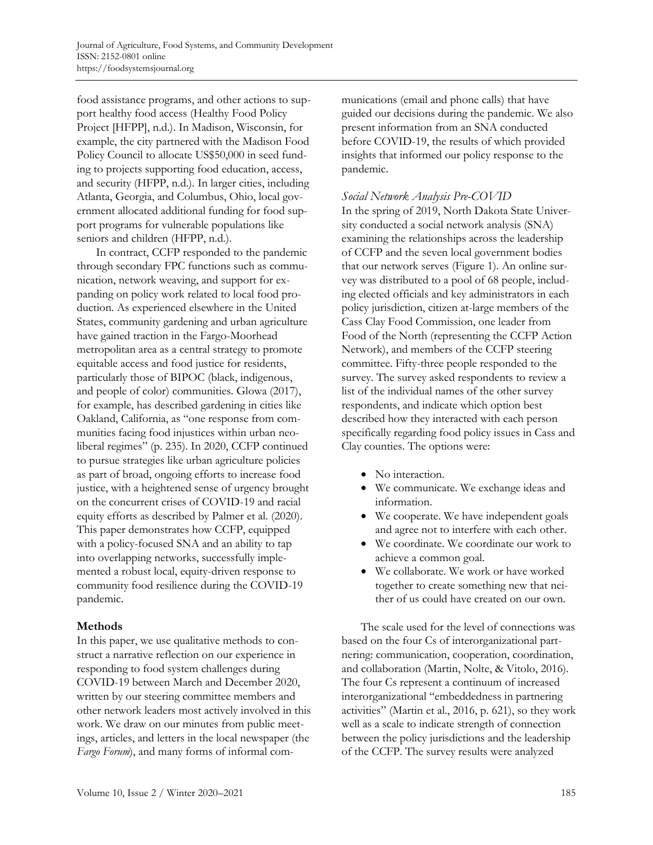food assistance programs, and other actions to support healthy food access (Healthy Food Policy Project [HFPP], n.d.). In Madison, Wisconsin, for example, the city partnered with the Madison Food Policy Council to allocate US\$50,000 in seed funding to projects supporting food education, access, and security (HFPP, n.d.). In larger cities, including Atlanta, Georgia, and Columbus, Ohio, local government allocated additional funding for food support programs for vulnerable populations like seniors and children (HFPP, n.d.).

In contract, CCFP responded to the pandemic through secondary FPC functions such as communication, network weaving, and support for expanding on policy work related to local food production. As experienced elsewhere in the United States, community gardening and urban agriculture have gained traction in the Fargo-Moorhead metropolitan area as a central strategy to promote equitable access and food justice for residents, particularly those of BIPOC (black, indigenous, and people of color) communities. Glowa (2017), for example, has described gardening in cities like Oakland, California, as "one response from communities facing food injustices within urban neoliberal regimes" (p. 235). In 2020, CCFP continued to pursue strategies like urban agriculture policies as part of broad, ongoing efforts to increase food justice, with a heightened sense of urgency brought on the concurrent crises of COVID-19 and racial equity efforts as described by Palmer et al. (2020). This paper demonstrates how CCFP, equipped with a policy-focused SNA and an ability to tap into overlapping networks, successfully implemented a robust local, equity-driven response to community food resilience during the COVID-19 pandemic.

#### **Methods**

In this paper, we use qualitative methods to construct a narrative reflection on our experience in responding to food system challenges during COVID-19 between March and December 2020, written by our steering committee members and other network leaders most actively involved in this work. We draw on our minutes from public meetings, articles, and letters in the local newspaper (the *Fargo Forum*), and many forms of informal communications (email and phone calls) that have guided our decisions during the pandemic. We also present information from an SNA conducted before COVID-19, the results of which provided insights that informed our policy response to the pandemic.

## *Social Network Analysis Pre-COVID*

In the spring of 2019, North Dakota State University conducted a social network analysis (SNA) examining the relationships across the leadership of CCFP and the seven local government bodies that our network serves (Figure 1). An online survey was distributed to a pool of 68 people, including elected officials and key administrators in each policy jurisdiction, citizen at-large members of the Cass Clay Food Commission, one leader from Food of the North (representing the CCFP Action Network), and members of the CCFP steering committee. Fifty-three people responded to the survey. The survey asked respondents to review a list of the individual names of the other survey respondents, and indicate which option best described how they interacted with each person specifically regarding food policy issues in Cass and Clay counties. The options were:

- No interaction.
- We communicate. We exchange ideas and information.
- We cooperate. We have independent goals and agree not to interfere with each other.
- We coordinate. We coordinate our work to achieve a common goal.
- We collaborate. We work or have worked together to create something new that neither of us could have created on our own.

The scale used for the level of connections was based on the four Cs of interorganizational partnering: communication, cooperation, coordination, and collaboration (Martin, Nolte, & Vitolo, 2016). The four Cs represent a continuum of increased interorganizational "embeddedness in partnering activities" (Martin et al., 2016, p. 621), so they work well as a scale to indicate strength of connection between the policy jurisdictions and the leadership of the CCFP. The survey results were analyzed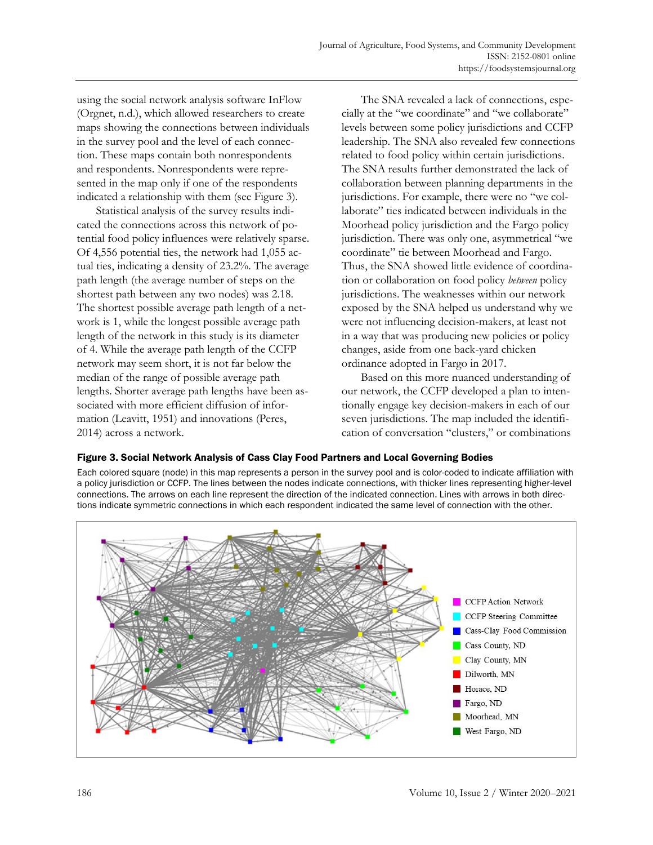using the social network analysis software InFlow (Orgnet, n.d.), which allowed researchers to create maps showing the connections between individuals in the survey pool and the level of each connection. These maps contain both nonrespondents and respondents. Nonrespondents were represented in the map only if one of the respondents indicated a relationship with them (see Figure 3).

Statistical analysis of the survey results indicated the connections across this network of potential food policy influences were relatively sparse. Of 4,556 potential ties, the network had 1,055 actual ties, indicating a density of 23.2%. The average path length (the average number of steps on the shortest path between any two nodes) was 2.18. The shortest possible average path length of a network is 1, while the longest possible average path length of the network in this study is its diameter of 4. While the average path length of the CCFP network may seem short, it is not far below the median of the range of possible average path lengths. Shorter average path lengths have been associated with more efficient diffusion of information (Leavitt, 1951) and innovations (Peres, 2014) across a network.

The SNA revealed a lack of connections, especially at the "we coordinate" and "we collaborate" levels between some policy jurisdictions and CCFP leadership. The SNA also revealed few connections related to food policy within certain jurisdictions. The SNA results further demonstrated the lack of collaboration between planning departments in the jurisdictions. For example, there were no "we collaborate" ties indicated between individuals in the Moorhead policy jurisdiction and the Fargo policy jurisdiction. There was only one, asymmetrical "we coordinate" tie between Moorhead and Fargo. Thus, the SNA showed little evidence of coordination or collaboration on food policy *between* policy jurisdictions. The weaknesses within our network exposed by the SNA helped us understand why we were not influencing decision-makers, at least not in a way that was producing new policies or policy changes, aside from one back-yard chicken ordinance adopted in Fargo in 2017.

Based on this more nuanced understanding of our network, the CCFP developed a plan to intentionally engage key decision-makers in each of our seven jurisdictions. The map included the identification of conversation "clusters," or combinations

#### Figure 3. Social Network Analysis of Cass Clay Food Partners and Local Governing Bodies

Each colored square (node) in this map represents a person in the survey pool and is color-coded to indicate affiliation with a policy jurisdiction or CCFP. The lines between the nodes indicate connections, with thicker lines representing higher-level connections. The arrows on each line represent the direction of the indicated connection. Lines with arrows in both directions indicate symmetric connections in which each respondent indicated the same level of connection with the other.

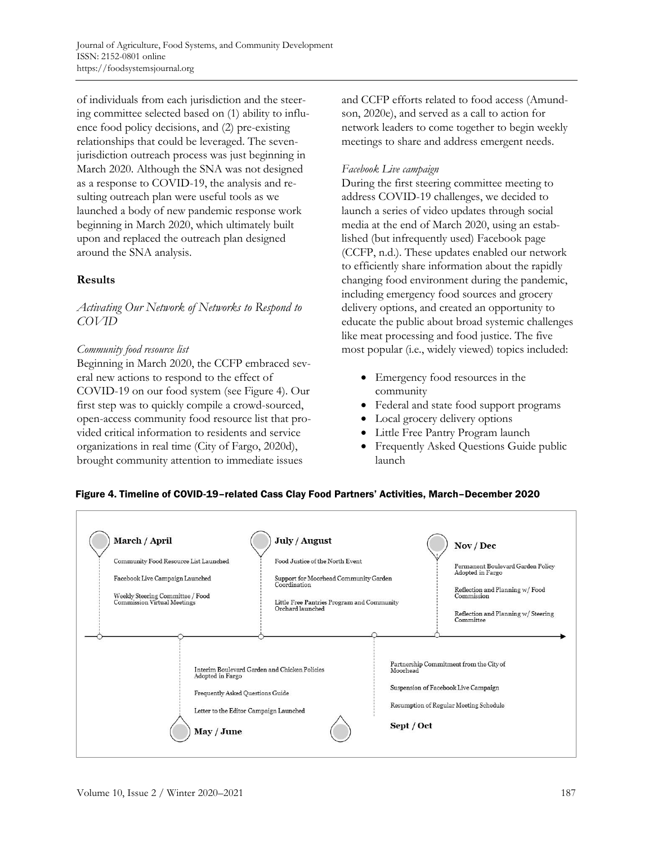of individuals from each jurisdiction and the steering committee selected based on (1) ability to influence food policy decisions, and (2) pre-existing relationships that could be leveraged. The sevenjurisdiction outreach process was just beginning in March 2020. Although the SNA was not designed as a response to COVID-19, the analysis and resulting outreach plan were useful tools as we launched a body of new pandemic response work beginning in March 2020, which ultimately built upon and replaced the outreach plan designed around the SNA analysis.

## **Results**

*Activating Our Network of Networks to Respond to COVID*

#### *Community food resource list*

Beginning in March 2020, the CCFP embraced several new actions to respond to the effect of COVID-19 on our food system (see Figure 4). Our first step was to quickly compile a crowd-sourced, open-access community food resource list that provided critical information to residents and service organizations in real time (City of Fargo, 2020d), brought community attention to immediate issues

and CCFP efforts related to food access (Amundson, 2020e), and served as a call to action for network leaders to come together to begin weekly meetings to share and address emergent needs.

#### *Facebook Live campaign*

During the first steering committee meeting to address COVID-19 challenges, we decided to launch a series of video updates through social media at the end of March 2020, using an established (but infrequently used) Facebook page (CCFP, n.d.). These updates enabled our network to efficiently share information about the rapidly changing food environment during the pandemic, including emergency food sources and grocery delivery options, and created an opportunity to educate the public about broad systemic challenges like meat processing and food justice. The five most popular (i.e., widely viewed) topics included:

- Emergency food resources in the community
- Federal and state food support programs
- Local grocery delivery options
- Little Free Pantry Program launch
- Frequently Asked Questions Guide public launch

#### Figure 4. Timeline of COVID-19–related Cass Clay Food Partners' Activities, March–December 2020

| March / April<br>Community Food Resource List Launched<br>Facebook Live Campaign Launched<br>Weekly Steering Committee / Food<br>Commission Virtual Meetings  | July / August<br>Food Justice of the North Event<br>Support for Moorhead Community Garden<br>Coordination<br>Little Free Pantries Program and Community<br>Orchard launched |                                                                                                                                                     | Nov / Dec<br>Permanent Boulevard Garden Policy<br>Adopted in Fargo<br>Reflection and Planning w/ Food<br>Commission<br>Reflection and Planning w/ Steering<br>Committee |
|---------------------------------------------------------------------------------------------------------------------------------------------------------------|-----------------------------------------------------------------------------------------------------------------------------------------------------------------------------|-----------------------------------------------------------------------------------------------------------------------------------------------------|-------------------------------------------------------------------------------------------------------------------------------------------------------------------------|
| Interim Boulevard Garden and Chicken Policies<br>Adopted in Fargo<br>Frequently Asked Ouestions Guide<br>Letter to the Editor Campaign Launched<br>May / June |                                                                                                                                                                             | Partnership Commitment from the City of<br>Moorhead<br>Suspension of Facebook Live Campaign<br>Resumption of Regular Meeting Schedule<br>Sept / Oct |                                                                                                                                                                         |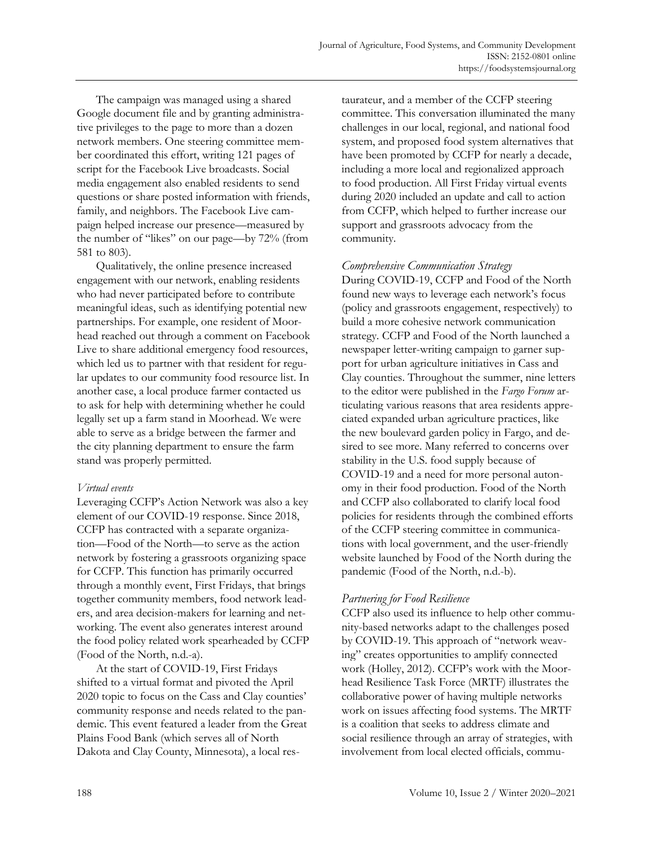The campaign was managed using a shared Google document file and by granting administrative privileges to the page to more than a dozen network members. One steering committee member coordinated this effort, writing 121 pages of script for the Facebook Live broadcasts. Social media engagement also enabled residents to send questions or share posted information with friends, family, and neighbors. The Facebook Live campaign helped increase our presence—measured by the number of "likes" on our page—by 72% (from 581 to 803).

Qualitatively, the online presence increased engagement with our network, enabling residents who had never participated before to contribute meaningful ideas, such as identifying potential new partnerships. For example, one resident of Moorhead reached out through a comment on Facebook Live to share additional emergency food resources, which led us to partner with that resident for regular updates to our community food resource list. In another case, a local produce farmer contacted us to ask for help with determining whether he could legally set up a farm stand in Moorhead. We were able to serve as a bridge between the farmer and the city planning department to ensure the farm stand was properly permitted.

#### *Virtual events*

Leveraging CCFP's Action Network was also a key element of our COVID-19 response. Since 2018, CCFP has contracted with a separate organization—Food of the North—to serve as the action network by fostering a grassroots organizing space for CCFP. This function has primarily occurred through a monthly event, First Fridays, that brings together community members, food network leaders, and area decision-makers for learning and networking. The event also generates interest around the food policy related work spearheaded by CCFP (Food of the North, n.d.-a).

At the start of COVID-19, First Fridays shifted to a virtual format and pivoted the April 2020 topic to focus on the Cass and Clay counties' community response and needs related to the pandemic. This event featured a leader from the Great Plains Food Bank (which serves all of North Dakota and Clay County, Minnesota), a local restaurateur, and a member of the CCFP steering committee. This conversation illuminated the many challenges in our local, regional, and national food system, and proposed food system alternatives that have been promoted by CCFP for nearly a decade, including a more local and regionalized approach to food production. All First Friday virtual events during 2020 included an update and call to action from CCFP, which helped to further increase our support and grassroots advocacy from the community.

## *Comprehensive Communication Strategy*

During COVID-19, CCFP and Food of the North found new ways to leverage each network's focus (policy and grassroots engagement, respectively) to build a more cohesive network communication strategy. CCFP and Food of the North launched a newspaper letter-writing campaign to garner support for urban agriculture initiatives in Cass and Clay counties. Throughout the summer, nine letters to the editor were published in the *Fargo Forum* articulating various reasons that area residents appreciated expanded urban agriculture practices, like the new boulevard garden policy in Fargo, and desired to see more. Many referred to concerns over stability in the U.S. food supply because of COVID-19 and a need for more personal autonomy in their food production. Food of the North and CCFP also collaborated to clarify local food policies for residents through the combined efforts of the CCFP steering committee in communications with local government, and the user-friendly website launched by Food of the North during the pandemic (Food of the North, n.d.-b).

# *Partnering for Food Resilience*

CCFP also used its influence to help other community-based networks adapt to the challenges posed by COVID-19. This approach of "network weaving" creates opportunities to amplify connected work (Holley, 2012). CCFP's work with the Moorhead Resilience Task Force (MRTF) illustrates the collaborative power of having multiple networks work on issues affecting food systems. The MRTF is a coalition that seeks to address climate and social resilience through an array of strategies, with involvement from local elected officials, commu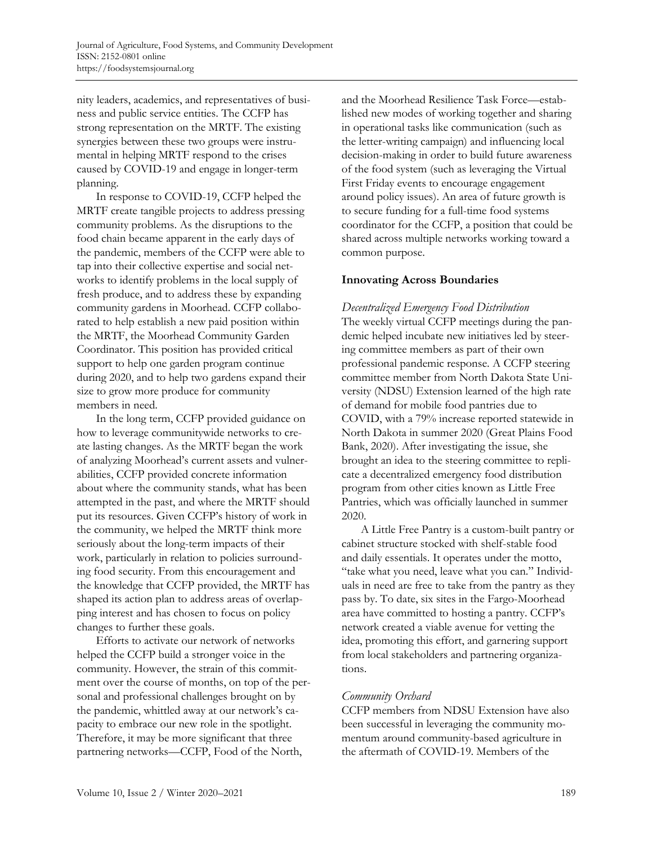nity leaders, academics, and representatives of business and public service entities. The CCFP has strong representation on the MRTF. The existing synergies between these two groups were instrumental in helping MRTF respond to the crises caused by COVID-19 and engage in longer-term planning.

In response to COVID-19, CCFP helped the MRTF create tangible projects to address pressing community problems. As the disruptions to the food chain became apparent in the early days of the pandemic, members of the CCFP were able to tap into their collective expertise and social networks to identify problems in the local supply of fresh produce, and to address these by expanding community gardens in Moorhead. CCFP collaborated to help establish a new paid position within the MRTF, the Moorhead Community Garden Coordinator. This position has provided critical support to help one garden program continue during 2020, and to help two gardens expand their size to grow more produce for community members in need.

In the long term, CCFP provided guidance on how to leverage communitywide networks to create lasting changes. As the MRTF began the work of analyzing Moorhead's current assets and vulnerabilities, CCFP provided concrete information about where the community stands, what has been attempted in the past, and where the MRTF should put its resources. Given CCFP's history of work in the community, we helped the MRTF think more seriously about the long-term impacts of their work, particularly in relation to policies surrounding food security. From this encouragement and the knowledge that CCFP provided, the MRTF has shaped its action plan to address areas of overlapping interest and has chosen to focus on policy changes to further these goals.

Efforts to activate our network of networks helped the CCFP build a stronger voice in the community. However, the strain of this commitment over the course of months, on top of the personal and professional challenges brought on by the pandemic, whittled away at our network's capacity to embrace our new role in the spotlight. Therefore, it may be more significant that three partnering networks—CCFP, Food of the North,

and the Moorhead Resilience Task Force—established new modes of working together and sharing in operational tasks like communication (such as the letter-writing campaign) and influencing local decision-making in order to build future awareness of the food system (such as leveraging the Virtual First Friday events to encourage engagement around policy issues). An area of future growth is to secure funding for a full-time food systems coordinator for the CCFP, a position that could be shared across multiple networks working toward a common purpose.

## **Innovating Across Boundaries**

#### *Decentralized Emergency Food Distribution*

The weekly virtual CCFP meetings during the pandemic helped incubate new initiatives led by steering committee members as part of their own professional pandemic response. A CCFP steering committee member from North Dakota State University (NDSU) Extension learned of the high rate of demand for mobile food pantries due to COVID, with a 79% increase reported statewide in North Dakota in summer 2020 (Great Plains Food Bank, 2020). After investigating the issue, she brought an idea to the steering committee to replicate a decentralized emergency food distribution program from other cities known as Little Free Pantries, which was officially launched in summer 2020.

A Little Free Pantry is a custom-built pantry or cabinet structure stocked with shelf-stable food and daily essentials. It operates under the motto, "take what you need, leave what you can." Individuals in need are free to take from the pantry as they pass by. To date, six sites in the Fargo-Moorhead area have committed to hosting a pantry. CCFP's network created a viable avenue for vetting the idea, promoting this effort, and garnering support from local stakeholders and partnering organizations.

# *Community Orchard*

CCFP members from NDSU Extension have also been successful in leveraging the community momentum around community-based agriculture in the aftermath of COVID-19. Members of the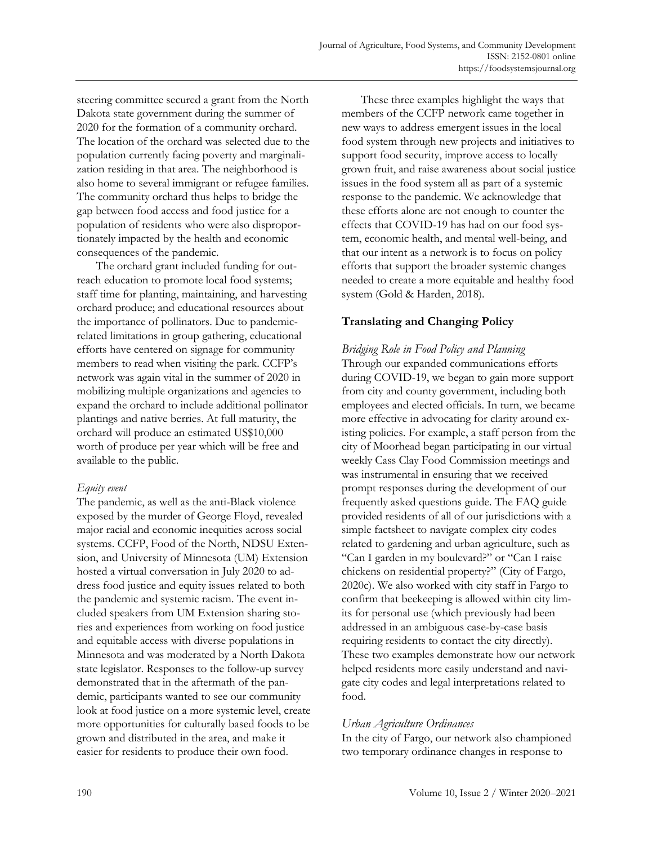steering committee secured a grant from the North Dakota state government during the summer of 2020 for the formation of a community orchard. The location of the orchard was selected due to the population currently facing poverty and marginalization residing in that area. The neighborhood is also home to several immigrant or refugee families. The community orchard thus helps to bridge the gap between food access and food justice for a population of residents who were also disproportionately impacted by the health and economic consequences of the pandemic.

The orchard grant included funding for outreach education to promote local food systems; staff time for planting, maintaining, and harvesting orchard produce; and educational resources about the importance of pollinators. Due to pandemicrelated limitations in group gathering, educational efforts have centered on signage for community members to read when visiting the park. CCFP's network was again vital in the summer of 2020 in mobilizing multiple organizations and agencies to expand the orchard to include additional pollinator plantings and native berries. At full maturity, the orchard will produce an estimated US\$10,000 worth of produce per year which will be free and available to the public.

#### *Equity event*

The pandemic, as well as the anti-Black violence exposed by the murder of George Floyd, revealed major racial and economic inequities across social systems. CCFP, Food of the North, NDSU Extension, and University of Minnesota (UM) Extension hosted a virtual conversation in July 2020 to address food justice and equity issues related to both the pandemic and systemic racism. The event included speakers from UM Extension sharing stories and experiences from working on food justice and equitable access with diverse populations in Minnesota and was moderated by a North Dakota state legislator. Responses to the follow-up survey demonstrated that in the aftermath of the pandemic, participants wanted to see our community look at food justice on a more systemic level, create more opportunities for culturally based foods to be grown and distributed in the area, and make it easier for residents to produce their own food.

These three examples highlight the ways that members of the CCFP network came together in new ways to address emergent issues in the local food system through new projects and initiatives to support food security, improve access to locally grown fruit, and raise awareness about social justice issues in the food system all as part of a systemic response to the pandemic. We acknowledge that these efforts alone are not enough to counter the effects that COVID-19 has had on our food system, economic health, and mental well-being, and that our intent as a network is to focus on policy efforts that support the broader systemic changes needed to create a more equitable and healthy food system (Gold & Harden, 2018).

# **Translating and Changing Policy**

*Bridging Role in Food Policy and Planning* Through our expanded communications efforts during COVID-19, we began to gain more support from city and county government, including both employees and elected officials. In turn, we became more effective in advocating for clarity around existing policies. For example, a staff person from the city of Moorhead began participating in our virtual weekly Cass Clay Food Commission meetings and was instrumental in ensuring that we received prompt responses during the development of our frequently asked questions guide. The FAQ guide provided residents of all of our jurisdictions with a simple factsheet to navigate complex city codes related to gardening and urban agriculture, such as "Can I garden in my boulevard?" or "Can I raise chickens on residential property?" (City of Fargo, 2020c). We also worked with city staff in Fargo to confirm that beekeeping is allowed within city limits for personal use (which previously had been addressed in an ambiguous case-by-case basis requiring residents to contact the city directly). These two examples demonstrate how our network helped residents more easily understand and navigate city codes and legal interpretations related to food.

# *Urban Agriculture Ordinances*

In the city of Fargo, our network also championed two temporary ordinance changes in response to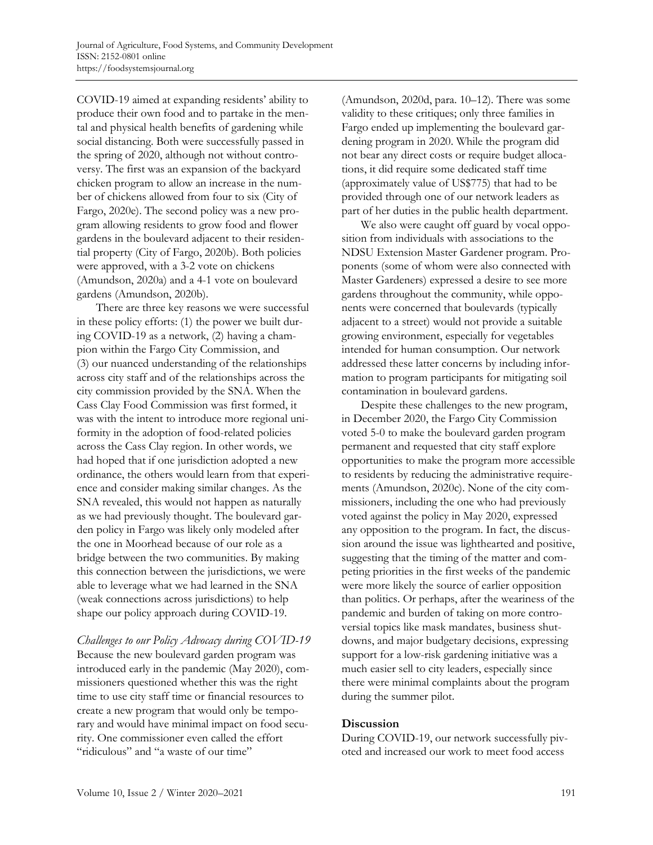COVID-19 aimed at expanding residents' ability to produce their own food and to partake in the mental and physical health benefits of gardening while social distancing. Both were successfully passed in the spring of 2020, although not without controversy. The first was an expansion of the backyard chicken program to allow an increase in the number of chickens allowed from four to six (City of Fargo, 2020e). The second policy was a new program allowing residents to grow food and flower gardens in the boulevard adjacent to their residential property (City of Fargo, 2020b). Both policies were approved, with a 3-2 vote on chickens (Amundson, 2020a) and a 4-1 vote on boulevard gardens (Amundson, 2020b).

There are three key reasons we were successful in these policy efforts: (1) the power we built during COVID-19 as a network, (2) having a champion within the Fargo City Commission, and (3) our nuanced understanding of the relationships across city staff and of the relationships across the city commission provided by the SNA. When the Cass Clay Food Commission was first formed, it was with the intent to introduce more regional uniformity in the adoption of food-related policies across the Cass Clay region. In other words, we had hoped that if one jurisdiction adopted a new ordinance, the others would learn from that experience and consider making similar changes. As the SNA revealed, this would not happen as naturally as we had previously thought. The boulevard garden policy in Fargo was likely only modeled after the one in Moorhead because of our role as a bridge between the two communities. By making this connection between the jurisdictions, we were able to leverage what we had learned in the SNA (weak connections across jurisdictions) to help shape our policy approach during COVID-19.

*Challenges to our Policy Advocacy during COVID-19* Because the new boulevard garden program was introduced early in the pandemic (May 2020), commissioners questioned whether this was the right time to use city staff time or financial resources to create a new program that would only be temporary and would have minimal impact on food security. One commissioner even called the effort "ridiculous" and "a waste of our time"

(Amundson, 2020d, para. 10–12). There was some validity to these critiques; only three families in Fargo ended up implementing the boulevard gardening program in 2020. While the program did not bear any direct costs or require budget allocations, it did require some dedicated staff time (approximately value of US\$775) that had to be provided through one of our network leaders as part of her duties in the public health department.

We also were caught off guard by vocal opposition from individuals with associations to the NDSU Extension Master Gardener program. Proponents (some of whom were also connected with Master Gardeners) expressed a desire to see more gardens throughout the community, while opponents were concerned that boulevards (typically adjacent to a street) would not provide a suitable growing environment, especially for vegetables intended for human consumption. Our network addressed these latter concerns by including information to program participants for mitigating soil contamination in boulevard gardens.

Despite these challenges to the new program, in December 2020, the Fargo City Commission voted 5-0 to make the boulevard garden program permanent and requested that city staff explore opportunities to make the program more accessible to residents by reducing the administrative requirements (Amundson, 2020c). None of the city commissioners, including the one who had previously voted against the policy in May 2020, expressed any opposition to the program. In fact, the discussion around the issue was lighthearted and positive, suggesting that the timing of the matter and competing priorities in the first weeks of the pandemic were more likely the source of earlier opposition than politics. Or perhaps, after the weariness of the pandemic and burden of taking on more controversial topics like mask mandates, business shutdowns, and major budgetary decisions, expressing support for a low-risk gardening initiative was a much easier sell to city leaders, especially since there were minimal complaints about the program during the summer pilot.

#### **Discussion**

During COVID-19, our network successfully pivoted and increased our work to meet food access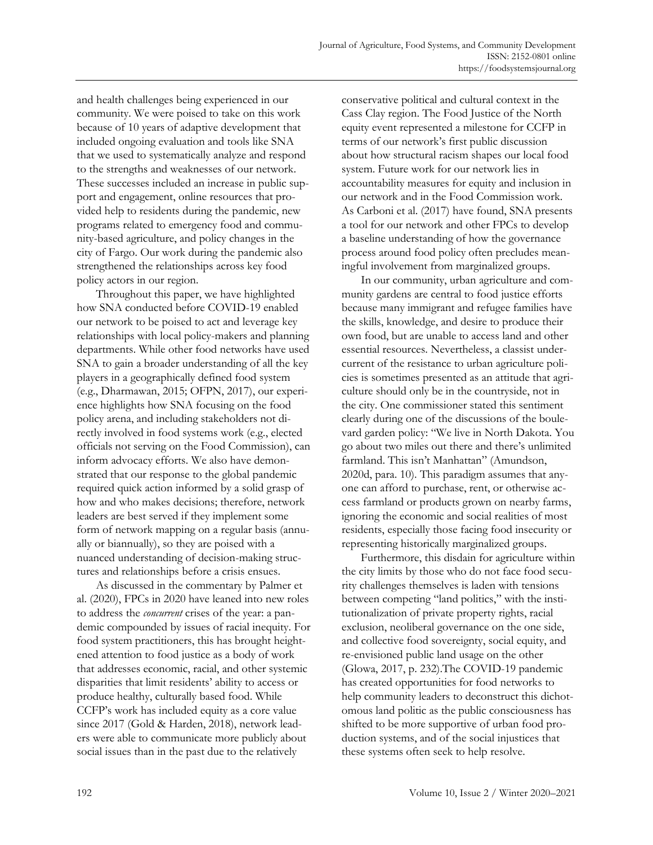and health challenges being experienced in our community. We were poised to take on this work because of 10 years of adaptive development that included ongoing evaluation and tools like SNA that we used to systematically analyze and respond to the strengths and weaknesses of our network. These successes included an increase in public support and engagement, online resources that provided help to residents during the pandemic, new programs related to emergency food and community-based agriculture, and policy changes in the city of Fargo. Our work during the pandemic also strengthened the relationships across key food policy actors in our region.

Throughout this paper, we have highlighted how SNA conducted before COVID-19 enabled our network to be poised to act and leverage key relationships with local policy-makers and planning departments. While other food networks have used SNA to gain a broader understanding of all the key players in a geographically defined food system (e.g., Dharmawan, 2015; OFPN, 2017), our experience highlights how SNA focusing on the food policy arena, and including stakeholders not directly involved in food systems work (e.g., elected officials not serving on the Food Commission), can inform advocacy efforts. We also have demonstrated that our response to the global pandemic required quick action informed by a solid grasp of how and who makes decisions; therefore, network leaders are best served if they implement some form of network mapping on a regular basis (annually or biannually), so they are poised with a nuanced understanding of decision-making structures and relationships before a crisis ensues.

As discussed in the commentary by Palmer et al. (2020), FPCs in 2020 have leaned into new roles to address the *concurrent* crises of the year: a pandemic compounded by issues of racial inequity. For food system practitioners, this has brought heightened attention to food justice as a body of work that addresses economic, racial, and other systemic disparities that limit residents' ability to access or produce healthy, culturally based food. While CCFP's work has included equity as a core value since 2017 (Gold & Harden, 2018), network leaders were able to communicate more publicly about social issues than in the past due to the relatively

conservative political and cultural context in the Cass Clay region. The Food Justice of the North equity event represented a milestone for CCFP in terms of our network's first public discussion about how structural racism shapes our local food system. Future work for our network lies in accountability measures for equity and inclusion in our network and in the Food Commission work. As Carboni et al. (2017) have found, SNA presents a tool for our network and other FPCs to develop a baseline understanding of how the governance process around food policy often precludes meaningful involvement from marginalized groups.

In our community, urban agriculture and community gardens are central to food justice efforts because many immigrant and refugee families have the skills, knowledge, and desire to produce their own food, but are unable to access land and other essential resources. Nevertheless, a classist undercurrent of the resistance to urban agriculture policies is sometimes presented as an attitude that agriculture should only be in the countryside, not in the city. One commissioner stated this sentiment clearly during one of the discussions of the boulevard garden policy: "We live in North Dakota. You go about two miles out there and there's unlimited farmland. This isn't Manhattan" (Amundson, 2020d, para. 10). This paradigm assumes that anyone can afford to purchase, rent, or otherwise access farmland or products grown on nearby farms, ignoring the economic and social realities of most residents, especially those facing food insecurity or representing historically marginalized groups.

Furthermore, this disdain for agriculture within the city limits by those who do not face food security challenges themselves is laden with tensions between competing "land politics," with the institutionalization of private property rights, racial exclusion, neoliberal governance on the one side, and collective food sovereignty, social equity, and re-envisioned public land usage on the other (Glowa, 2017, p. 232).The COVID-19 pandemic has created opportunities for food networks to help community leaders to deconstruct this dichotomous land politic as the public consciousness has shifted to be more supportive of urban food production systems, and of the social injustices that these systems often seek to help resolve.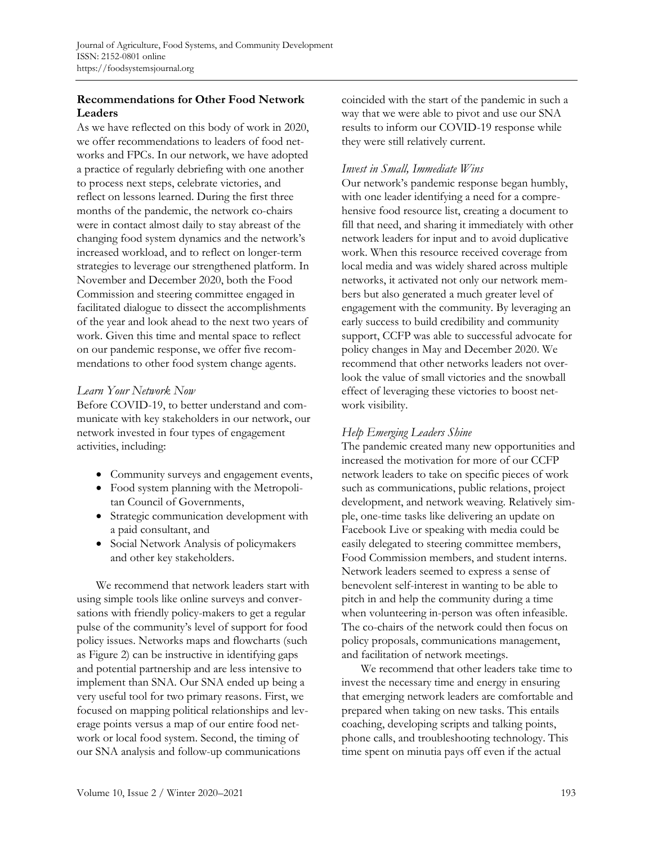# **Recommendations for Other Food Network Leaders**

As we have reflected on this body of work in 2020, we offer recommendations to leaders of food networks and FPCs. In our network, we have adopted a practice of regularly debriefing with one another to process next steps, celebrate victories, and reflect on lessons learned. During the first three months of the pandemic, the network co-chairs were in contact almost daily to stay abreast of the changing food system dynamics and the network's increased workload, and to reflect on longer-term strategies to leverage our strengthened platform. In November and December 2020, both the Food Commission and steering committee engaged in facilitated dialogue to dissect the accomplishments of the year and look ahead to the next two years of work. Given this time and mental space to reflect on our pandemic response, we offer five recommendations to other food system change agents.

#### *Learn Your Network Now*

Before COVID-19, to better understand and communicate with key stakeholders in our network, our network invested in four types of engagement activities, including:

- Community surveys and engagement events,
- Food system planning with the Metropolitan Council of Governments,
- Strategic communication development with a paid consultant, and
- Social Network Analysis of policymakers and other key stakeholders.

We recommend that network leaders start with using simple tools like online surveys and conversations with friendly policy-makers to get a regular pulse of the community's level of support for food policy issues. Networks maps and flowcharts (such as Figure 2) can be instructive in identifying gaps and potential partnership and are less intensive to implement than SNA. Our SNA ended up being a very useful tool for two primary reasons. First, we focused on mapping political relationships and leverage points versus a map of our entire food network or local food system. Second, the timing of our SNA analysis and follow-up communications

coincided with the start of the pandemic in such a way that we were able to pivot and use our SNA results to inform our COVID-19 response while they were still relatively current.

## *Invest in Small, Immediate Wins*

Our network's pandemic response began humbly, with one leader identifying a need for a comprehensive food resource list, creating a document to fill that need, and sharing it immediately with other network leaders for input and to avoid duplicative work. When this resource received coverage from local media and was widely shared across multiple networks, it activated not only our network members but also generated a much greater level of engagement with the community. By leveraging an early success to build credibility and community support, CCFP was able to successful advocate for policy changes in May and December 2020. We recommend that other networks leaders not overlook the value of small victories and the snowball effect of leveraging these victories to boost network visibility.

# *Help Emerging Leaders Shine*

The pandemic created many new opportunities and increased the motivation for more of our CCFP network leaders to take on specific pieces of work such as communications, public relations, project development, and network weaving. Relatively simple, one-time tasks like delivering an update on Facebook Live or speaking with media could be easily delegated to steering committee members, Food Commission members, and student interns. Network leaders seemed to express a sense of benevolent self-interest in wanting to be able to pitch in and help the community during a time when volunteering in-person was often infeasible. The co-chairs of the network could then focus on policy proposals, communications management, and facilitation of network meetings.

We recommend that other leaders take time to invest the necessary time and energy in ensuring that emerging network leaders are comfortable and prepared when taking on new tasks. This entails coaching, developing scripts and talking points, phone calls, and troubleshooting technology. This time spent on minutia pays off even if the actual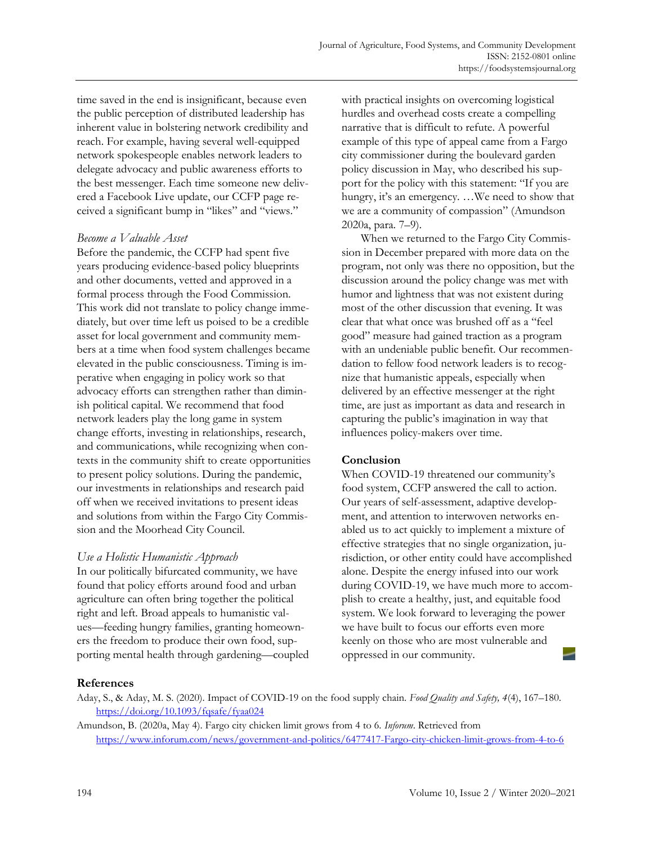time saved in the end is insignificant, because even the public perception of distributed leadership has inherent value in bolstering network credibility and reach. For example, having several well-equipped network spokespeople enables network leaders to delegate advocacy and public awareness efforts to the best messenger. Each time someone new delivered a Facebook Live update, our CCFP page received a significant bump in "likes" and "views."

## *Become a Valuable Asset*

Before the pandemic, the CCFP had spent five years producing evidence-based policy blueprints and other documents, vetted and approved in a formal process through the Food Commission. This work did not translate to policy change immediately, but over time left us poised to be a credible asset for local government and community members at a time when food system challenges became elevated in the public consciousness. Timing is imperative when engaging in policy work so that advocacy efforts can strengthen rather than diminish political capital. We recommend that food network leaders play the long game in system change efforts, investing in relationships, research, and communications, while recognizing when contexts in the community shift to create opportunities to present policy solutions. During the pandemic, our investments in relationships and research paid off when we received invitations to present ideas and solutions from within the Fargo City Commission and the Moorhead City Council.

# *Use a Holistic Humanistic Approach*

In our politically bifurcated community, we have found that policy efforts around food and urban agriculture can often bring together the political right and left. Broad appeals to humanistic values—feeding hungry families, granting homeowners the freedom to produce their own food, supporting mental health through gardening—coupled with practical insights on overcoming logistical hurdles and overhead costs create a compelling narrative that is difficult to refute. A powerful example of this type of appeal came from a Fargo city commissioner during the boulevard garden policy discussion in May, who described his support for the policy with this statement: "If you are hungry, it's an emergency. …We need to show that we are a community of compassion" (Amundson 2020a, para. 7–9).

When we returned to the Fargo City Commission in December prepared with more data on the program, not only was there no opposition, but the discussion around the policy change was met with humor and lightness that was not existent during most of the other discussion that evening. It was clear that what once was brushed off as a "feel good" measure had gained traction as a program with an undeniable public benefit. Our recommendation to fellow food network leaders is to recognize that humanistic appeals, especially when delivered by an effective messenger at the right time, are just as important as data and research in capturing the public's imagination in way that influences policy-makers over time.

# **Conclusion**

When COVID-19 threatened our community's food system, CCFP answered the call to action. Our years of self-assessment, adaptive development, and attention to interwoven networks enabled us to act quickly to implement a mixture of effective strategies that no single organization, jurisdiction, or other entity could have accomplished alone. Despite the energy infused into our work during COVID-19, we have much more to accomplish to create a healthy, just, and equitable food system. We look forward to leveraging the power we have built to focus our efforts even more keenly on those who are most vulnerable and oppressed in our community.

# **References**

Aday, S., & Aday, M. S. (2020). Impact of COVID-19 on the food supply chain. *Food Quality and Safety, 4*(4), 167–180. https://doi.org/10.1093/fqsafe/fyaa024

Amundson, B. (2020a, May 4). Fargo city chicken limit grows from 4 to 6. *Inforum*. Retrieved from https://www.inforum.com/news/government-and-politics/6477417-Fargo-city-chicken-limit-grows-from-4-to-6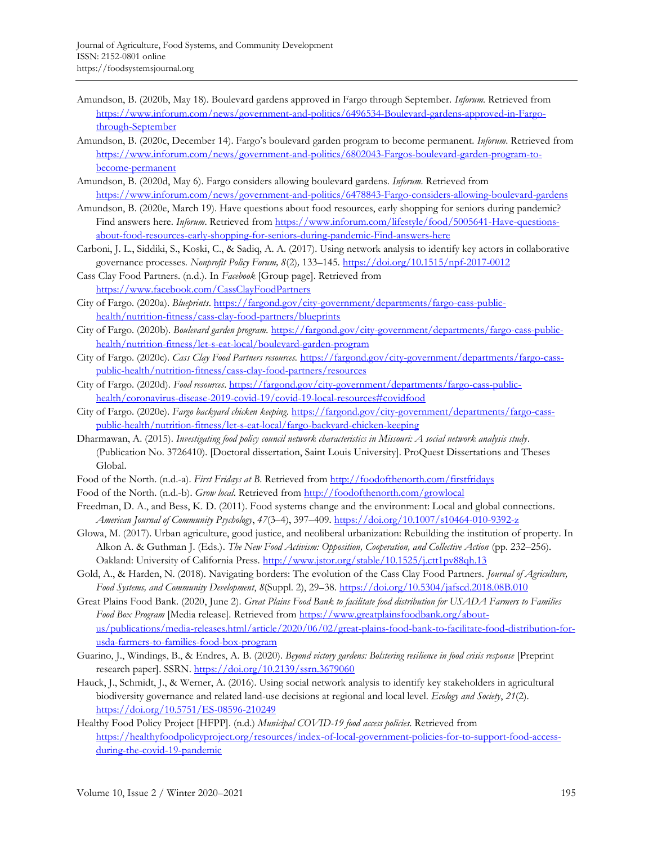- Amundson, B. (2020b, May 18). Boulevard gardens approved in Fargo through September. *Inforum.* Retrieved from https://www.inforum.com/news/government-and-politics/6496534-Boulevard-gardens-approved-in-Fargothrough-September
- Amundson, B. (2020c, December 14). Fargo's boulevard garden program to become permanent. *Inforum*. Retrieved from https://www.inforum.com/news/government-and-politics/6802043-Fargos-boulevard-garden-program-tobecome-permanent
- Amundson, B. (2020d, May 6). Fargo considers allowing boulevard gardens. *Inforum.* Retrieved from https://www.inforum.com/news/government-and-politics/6478843-Fargo-considers-allowing-boulevard-gardens
- Amundson, B. (2020e, March 19). Have questions about food resources, early shopping for seniors during pandemic? Find answers here. *Inforum*. Retrieved from https://www.inforum.com/lifestyle/food/5005641-Have-questionsabout-food-resources-early-shopping-for-seniors-during-pandemic-Find-answers-here
- Carboni, J. L., Siddiki, S., Koski, C., & Sadiq, A. A. (2017). Using network analysis to identify key actors in collaborative governance processes. *Nonprofit Policy Forum, 8*(2)*,* 133–145. https://doi.org/10.1515/npf-2017-0012
- Cass Clay Food Partners. (n.d.). In *Facebook* [Group page]. Retrieved from https://www.facebook.com/CassClayFoodPartners
- City of Fargo. (2020a). *Blueprints*. https://fargond.gov/city-government/departments/fargo-cass-publichealth/nutrition-fitness/cass-clay-food-partners/blueprints
- City of Fargo. (2020b). *Boulevard garden program.* https://fargond.gov/city-government/departments/fargo-cass-publichealth/nutrition-fitness/let-s-eat-local/boulevard-garden-program
- City of Fargo. (2020c). *Cass Clay Food Partners resources.* https://fargond.gov/city-government/departments/fargo-casspublic-health/nutrition-fitness/cass-clay-food-partners/resources
- City of Fargo. (2020d). *Food resources*. https://fargond.gov/city-government/departments/fargo-cass-publichealth/coronavirus-disease-2019-covid-19/covid-19-local-resources#covidfood
- City of Fargo. (2020e). *Fargo backyard chicken keeping*. https://fargond.gov/city-government/departments/fargo-casspublic-health/nutrition-fitness/let-s-eat-local/fargo-backyard-chicken-keeping
- Dharmawan, A. (2015). *Investigating food policy council network characteristics in Missouri: A social network analysis study*. (Publication No. 3726410). [Doctoral dissertation, Saint Louis University]. ProQuest Dissertations and Theses Global.
- Food of the North. (n.d.-a). *First Fridays at B*. Retrieved from http://foodofthenorth.com/firstfridays
- Food of the North. (n.d.-b). *Grow local*. Retrieved from http://foodofthenorth.com/growlocal
- Freedman, D. A., and Bess, K. D. (2011). Food systems change and the environment: Local and global connections. *American Journal of Community Psychology*, *47*(3–4), 397–409. https://doi.org/10.1007/s10464-010-9392-z
- Glowa, M. (2017). Urban agriculture, good justice, and neoliberal urbanization: Rebuilding the institution of property. In Alkon A. & Guthman J. (Eds.). *The New Food Activism: Opposition, Cooperation, and Collective Action* (pp. 232–256). Oakland: University of California Press. http://www.jstor.org/stable/10.1525/j.ctt1pv88qh.13
- Gold, A., & Harden, N. (2018). Navigating borders: The evolution of the Cass Clay Food Partners. *Journal of Agriculture, Food Systems, and Community Development*, *8*(Suppl. 2), 29–38. https://doi.org/10.5304/jafscd.2018.08B.010
- Great Plains Food Bank. (2020, June 2). *Great Plains Food Bank to facilitate food distribution for USADA Farmers to Families Food Box Program* [Media release]. Retrieved from https://www.greatplainsfoodbank.org/about[us/publications/media-releases.html/article/2020/06/02/great-plains-food-bank-to-facilitate-food-distribution-for](https://www.greatplainsfoodbank.org/about-us/publications/media-releases.html/article/2020/06/02/great-plains-food-bank-to-facilitate-food-distribution-for-usda-farmers-to-families-food-box-program)usda-farmers-to-families-food-box-program
- Guarino, J., Windings, B., & Endres, A. B. (2020). *Beyond victory gardens: Bolstering resilience in food crisis response* [Preprint research paper]. SSRN. https://doi.org/10.2139/ssrn.3679060
- Hauck, J., Schmidt, J., & Werner, A. (2016). Using social network analysis to identify key stakeholders in agricultural biodiversity governance and related land-use decisions at regional and local level. *Ecology and Society*, *21*(2). https://doi.org/10.5751/ES-08596-210249
- Healthy Food Policy Project [HFPP]. (n.d.) *Municipal COVID-19 food access policies*. Retrieved from https://healthyfoodpolicyproject.org/resources/index-of-local-government-policies-for-to-support-food-accessduring-the-covid-19-pandemic